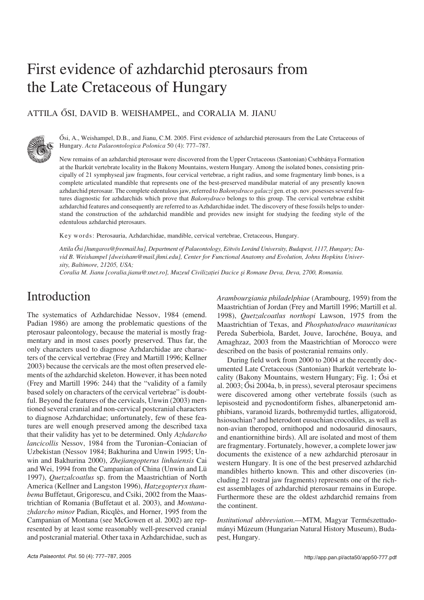## First evidence of azhdarchid pterosaurs from the Late Cretaceous of Hungary

#### ATTILA ŐSI, DAVID B. WEISHAMPEL, and CORALIA M. JIANU



Ősi, A., Weishampel, D.B., and Jianu, C.M. 2005. First evidence of azhdarchid pterosaurs from the Late Cretaceous of Hungary. *Acta Palaeontologica Polonica* 50 (4): 777–787.

New remains of an azhdarchid pterosaur were discovered from the Upper Cretaceous (Santonian) Csehbánya Formation at the Iharkút vertebrate locality in the Bakony Mountains, western Hungary. Among the isolated bones, consisting prin− cipally of 21 symphyseal jaw fragments, four cervical vertebrae, a right radius, and some fragmentary limb bones, is a complete articulated mandible that represents one of the best−preserved mandibular material of any presently known azhdarchid pterosaur. The complete edentulous jaw, referred to *Bakonydraco galaczi* gen. et sp. nov. posesses several fea− tures diagnostic for azhdarchids which prove that *Bakonydraco* belongs to this group. The cervical vertebrae exhibit azhdarchid features and consequently are referred to as Azhdarchidae indet. The discovery of these fossils helps to under− stand the construction of the azhdarchid mandible and provides new insight for studying the feeding style of the edentulous azhdarchid pterosaurs.

Key words: Pterosauria, Azhdarchidae, mandible, cervical vertebrae, Cretaceous, Hungary.

*Attila Ősi [hungaros@freemail.hu], Department of Palaeontology, Eötvös Loránd University, Budapest, 1117, Hungary; Da− vid B. Weishampel [dweisham@mail.jhmi.edu], Center for Functional Anatomy and Evolution, Johns Hopkins Univer− sity, Baltimore, 21205, USA;*

*Coralia M. Jianu [coralia.jianu@xnet.ro], Muzeul Civilizaţiei Dacice şi Romane Deva, Deva, 2700, Romania.*

## Introduction

The systematics of Azhdarchidae Nessov, 1984 (emend. Padian 1986) are among the problematic questions of the pterosaur paleontology, because the material is mostly frag− mentary and in most cases poorly preserved. Thus far, the only characters used to diagnose Azhdarchidae are charac− ters of the cervical vertebrae (Frey and Martill 1996; Kellner 2003) because the cervicals are the most often preserved ele− ments of the azhdarchid skeleton. However, it has been noted (Frey and Martill 1996: 244) that the "validity of a family based solely on characters of the cervical vertebrae" is doubt− ful. Beyond the features of the cervicals, Unwin (2003) men− tioned several cranial and non−cervical postcranial characters to diagnose Azhdarchidae; unfortunately, few of these fea− tures are well enough preserved among the described taxa that their validity has yet to be determined. Only *Azhdarcho lancicollis* Nessov, 1984 from the Turonian–Coniacian of Uzbekistan (Nessov 1984; Bakhurina and Unwin 1995; Un− win and Bakhurina 2000), *Zhejiangopterus linhaiensis* Cai and Wei, 1994 from the Campanian of China (Unwin and Lü 1997), *Quetzalcoatlus* sp. from the Maastrichtian of North America (Kellner and Langston 1996), *Hatzegopteryx tham− bema* Buffetaut, Grigorescu, and Csiki, 2002 from the Maas− trichtian of Romania (Buffetaut et al. 2003), and *Montana− zhdarcho minor* Padian, Ricqlès, and Horner, 1995 from the Campanian of Montana (see McGowen et al. 2002) are rep− resented by at least some reasonably well−preserved cranial and postcranial material. Other taxa in Azhdarchidae, such as *Arambourgiania philadelphiae* (Arambourg, 1959) from the Maastrichtian of Jordan (Frey and Martill 1996; Martill et al. 1998), *Quetzalcoatlus northopi* Lawson, 1975 from the Maastrichtian of Texas, and *Phosphatodraco mauritanicus* Pereda Suberbiola, Bardet, Jouve, Iarochéne, Bouya, and Amaghzaz, 2003 from the Maastrichtian of Morocco were described on the basis of postcranial remains only.

During field work from 2000 to 2004 at the recently doc− umented Late Cretaceous (Santonian) Iharkút vertebrate lo− cality (Bakony Mountains, western Hungary; Fig. 1; Ősi et al. 2003; Ősi 2004a, b, in press), several pterosaur specimens were discovered among other vertebrate fossils (such as lepisosteid and pycnodontiform fishes, albanerpetonid am− phibians, varanoid lizards, bothremydid turtles, alligatoroid, hsiosuchian? and heterodont eusuchian crocodiles, as well as non−avian theropod, ornithopod and nodosaurid dinosaurs, and enantiornithine birds). All are isolated and most of them are fragmentary. Fortunately, however, a complete lower jaw documents the existence of a new azhdarchid pterosaur in western Hungary. It is one of the best preserved azhdarchid mandibles hitherto known. This and other discoveries (in− cluding 21 rostral jaw fragments) represents one of the rich− est assemblages of azhdarchid pterosaur remains in Europe. Furthermore these are the oldest azhdarchid remains from the continent.

*Institutional abbreviation*.—MTM, Magyar Természettudo− mányi Múzeum (Hungarian Natural History Museum), Buda− pest, Hungary.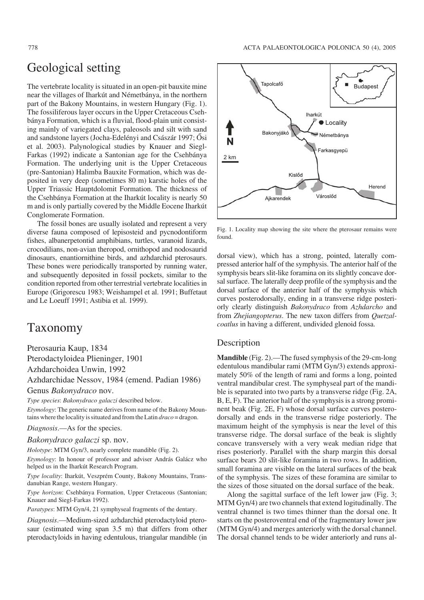## Geological setting

The vertebrate locality is situated in an open−pit bauxite mine near the villages of Iharkút and Németbánya, in the northern part of the Bakony Mountains, in western Hungary (Fig. 1). The fossiliferous layer occurs in the Upper Cretaceous Cseh− bánya Formation, which is a fluvial, flood−plain unit consist− ing mainly of variegated clays, paleosols and silt with sand and sandstone layers (Jocha−Edelényi and Császár 1997; Ősi et al. 2003). Palynological studies by Knauer and Siegl− Farkas (1992) indicate a Santonian age for the Csehbánya Formation. The underlying unit is the Upper Cretaceous (pre−Santonian) Halimba Bauxite Formation, which was de− posited in very deep (sometimes 80 m) karstic holes of the Upper Triassic Hauptdolomit Formation. The thickness of the Csehbánya Formation at the Iharkút locality is nearly 50 m and is only partially covered by the Middle Eocene Iharkút Conglomerate Formation.

The fossil bones are usually isolated and represent a very diverse fauna composed of lepisosteid and pycnodontiform fishes, albanerpetontid amphibians, turtles, varanoid lizards, crocodilians, non−avian theropod, ornithopod and nodosaurid dinosaurs, enantiornithine birds, and azhdarchid pterosaurs. These bones were periodically transported by running water, and subsequently deposited in fossil pockets, similar to the condition reported from other terrestrial vertebrate localities in Europe (Grigorescu 1983; Weishampel et al. 1991; Buffetaut and Le Loeuff 1991; Astibia et al. 1999).

## Taxonomy

Pterosauria Kaup, 1834 Pterodactyloidea Plieninger, 1901 Azhdarchoidea Unwin, 1992 Azhdarchidae Nessov, 1984 (emend. Padian 1986) Genus *Bakonydraco* nov.

*Type species*: *Bakonydraco galaczi* described below.

*Etymology*: The generic name derives from name of the Bakony Moun− tains where the locality is situated and from the Latin *draco* = dragon.

*Diagnosis*.—As for the species.

*Bakonydraco galaczi* sp. nov.

*Holotype*: MTM Gyn/3, nearly complete mandible (Fig. 2).

*Etymology*: In honour of professor and adviser András Galácz who helped us in the Iharkút Research Program.

*Type locality*: Iharkút, Veszprém County, Bakony Mountains, Trans− danubian Range, western Hungary.

*Type horizon*: Csehbánya Formation, Upper Cretaceous (Santonian; Knauer and Siegl−Farkas 1992).

*Paratypes*: MTM Gyn/4, 21 symphyseal fragments of the dentary.

*Diagnosis*.—Medium−sized azhdarchid pterodactyloid ptero− saur (estimated wing span 3.5 m) that differs from other pterodactyloids in having edentulous, triangular mandible (in



Fig. 1. Locality map showing the site where the pterosaur remains were found.

dorsal view), which has a strong, pointed, laterally com− pressed anterior half of the symphysis. The anterior half of the symphysis bears slit−like foramina on its slightly concave dor− sal surface. The laterally deep profile of the symphysis and the dorsal surface of the anterior half of the symphysis which curves posterodorsally, ending in a transverse ridge posteri− orly clearly distinguish *Bakonydraco* from *Azhdarcho* and from *Zhejiangopterus*. The new taxon differs from *Quetzal− coatlus* in having a different, undivided glenoid fossa.

#### Description

**Mandible** (Fig. 2).—The fused symphysis of the 29−cm−long edentulous mandibular rami (MTM Gyn/3) extends approxi− mately 50% of the length of rami and forms a long, pointed ventral mandibular crest. The symphyseal part of the mandi− ble is separated into two parts by a transverse ridge (Fig. 2A, B, E, F). The anterior half of the symphysis is a strong promi− nent beak (Fig. 2E, F) whose dorsal surface curves postero− dorsally and ends in the transverse ridge posteriorly. The maximum height of the symphysis is near the level of this transverse ridge. The dorsal surface of the beak is slightly concave transversely with a very weak median ridge that rises posteriorly. Parallel with the sharp margin this dorsal surface bears 20 slit−like foramina in two rows. In addition, small foramina are visible on the lateral surfaces of the beak of the symphysis. The sizes of these foramina are similar to the sizes of those situated on the dorsal surface of the beak.

Along the sagittal surface of the left lower jaw (Fig. 3; MTM Gyn/4) are two channels that extend logitudinally. The ventral channel is two times thinner than the dorsal one. It starts on the posteroventral end of the fragmentary lower jaw (MTM Gyn/4) and merges anteriorly with the dorsal channel. The dorsal channel tends to be wider anteriorly and runs al−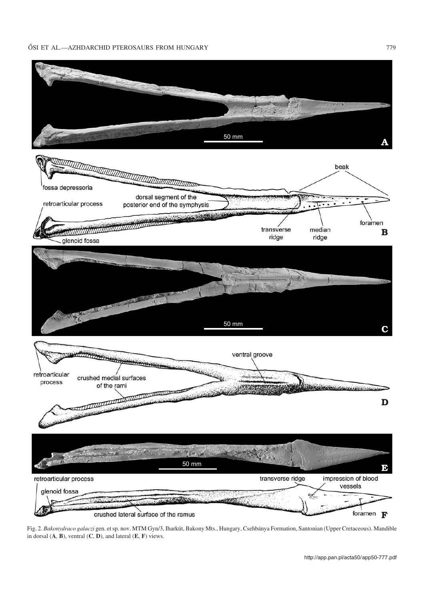

Fig. 2. *Bakonydraco galaczi* gen. et sp. nov. MTM Gyn/3, Iharkút, Bakony Mts., Hungary, Csehbánya Formation, Santonian (Upper Cretaceous). Mandible in dorsal (**A**, **B**), ventral (**C**, **D**), and lateral (**E**, **F**) views.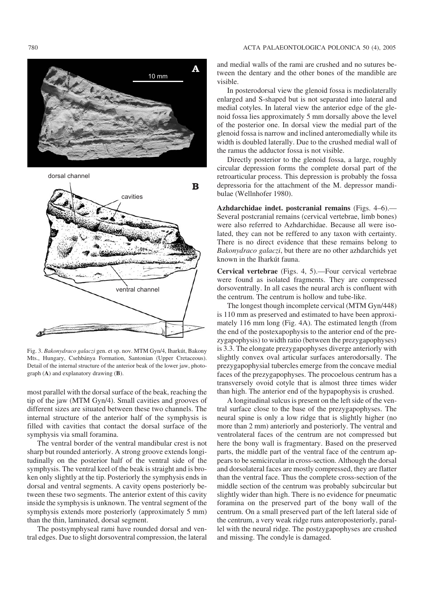# A 10 mm



Fig. 3. *Bakonydraco galaczi* gen. et sp. nov. MTM Gyn/4, Iharkút, Bakony Mts., Hungary, Csehbánya Formation, Santonian (Upper Cretaceous). Detail of the internal structure of the anterior beak of the lower jaw, photo− graph (**A**) and explanatory drawing (**B**).

most parallel with the dorsal surface of the beak, reaching the tip of the jaw (MTM Gyn/4). Small cavities and grooves of different sizes are situated between these two channels. The internal structure of the anterior half of the symphysis is filled with cavities that contact the dorsal surface of the symphysis via small foramina.

The ventral border of the ventral mandibular crest is not sharp but rounded anteriorly. A strong groove extends longi− tudinally on the posterior half of the ventral side of the symphysis. The ventral keel of the beak is straight and is bro− ken only slightly at the tip. Posteriorly the symphysis ends in dorsal and ventral segments. A cavity opens posteriorly be− tween these two segments. The anterior extent of this cavity inside the symphysis is unknown. The ventral segment of the symphysis extends more posteriorly (approximately 5 mm) than the thin, laminated, dorsal segment.

The postsymphyseal rami have rounded dorsal and ven− tral edges. Due to slight dorsoventral compression, the lateral

780 ACTA PALAEONTOLOGICA POLONICA 50 (4), 2005

and medial walls of the rami are crushed and no sutures be− tween the dentary and the other bones of the mandible are visible.

In posterodorsal view the glenoid fossa is mediolaterally enlarged and S−shaped but is not separated into lateral and medial cotyles. In lateral view the anterior edge of the gle− noid fossa lies approximately 5 mm dorsally above the level of the posterior one. In dorsal view the medial part of the glenoid fossa is narrow and inclined anteromedially while its width is doubled laterally. Due to the crushed medial wall of the ramus the adductor fossa is not visible.

Directly posterior to the glenoid fossa, a large, roughly circular depression forms the complete dorsal part of the retroarticular process. This depression is probably the fossa depressoria for the attachment of the M. depressor mandi− bulae (Wellnhofer 1980).

**Azhdarchidae indet. postcranial remains** (Figs. 4–6).— Several postcranial remains (cervical vertebrae, limb bones) were also referred to Azhdarchidae. Because all were iso− lated, they can not be reffered to any taxon with certainty. There is no direct evidence that these remains belong to *Bakonydraco galaczi*, but there are no other azhdarchids yet known in the Iharkút fauna.

**Cervical vertebrae** (Figs. 4, 5).—Four cervical vertebrae were found as isolated fragments. They are compressed dorsoventrally. In all cases the neural arch is confluent with the centrum. The centrum is hollow and tube−like.

The longest though incomplete cervical (MTM Gyn/448) is 110 mm as preserved and estimated to have been approxi− mately 116 mm long (Fig. 4A). The estimated length (from the end of the postexapophysis to the anterior end of the pre− zygapophysis) to width ratio (between the prezygapophyses) is 3.3. The elongate prezygapophyses diverge anteriorly with slightly convex oval articular surfaces anterodorsally. The prezygapophysial tubercles emerge from the concave medial faces of the prezygapophyses. The procoelous centrum has a transversely ovoid cotyle that is almost three times wider than high. The anterior end of the hypapophysis is crushed.

A longitudinal sulcus is present on the left side of the ven− tral surface close to the base of the prezygapophyses. The neural spine is only a low ridge that is slightly higher (no more than 2 mm) anteriorly and posteriorly. The ventral and ventrolateral faces of the centrum are not compressed but here the bony wall is fragmentary. Based on the preserved parts, the middle part of the ventral face of the centrum ap− pears to be semicircular in cross−section. Although the dorsal and dorsolateral faces are mostly compressed, they are flatter than the ventral face. Thus the complete cross−section of the middle section of the centrum was probably subcircular but slightly wider than high. There is no evidence for pneumatic foramina on the preserved part of the bony wall of the centrum. On a small preserved part of the left lateral side of the centrum, a very weak ridge runs anteroposteriorly, paral− lel with the neural ridge. The postzygapophyses are crushed and missing. The condyle is damaged.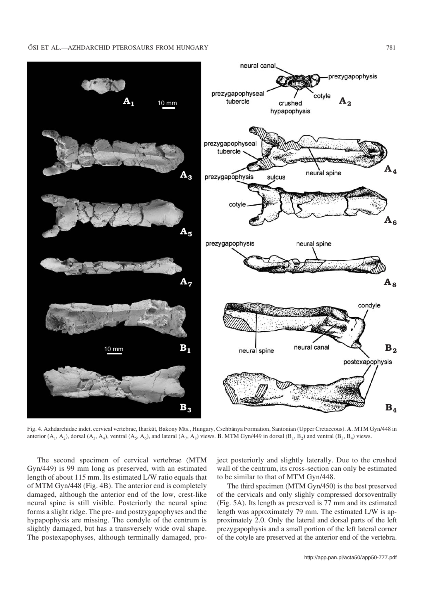

Fig. 4. Azhdarchidae indet. cervical vertebrae, Iharkút, Bakony Mts., Hungary, Csehbánya Formation, Santonian (Upper Cretaceous). **A**. MTM Gyn/448 in anterior  $(A_1, A_2)$ , dorsal  $(A_3, A_4)$ , ventral  $(A_5, A_6)$ , and lateral  $(A_7, A_8)$  views. **B**. MTM Gyn/449 in dorsal  $(B_1, B_2)$  and ventral  $(B_3, B_4)$  views.

The second specimen of cervical vertebrae (MTM Gyn/449) is 99 mm long as preserved, with an estimated length of about 115 mm. Its estimated L/W ratio equals that of MTM Gyn/448 (Fig. 4B). The anterior end is completely damaged, although the anterior end of the low, crest−like neural spine is still visible. Posteriorly the neural spine forms a slight ridge. The pre− and postzygapophyses and the hypapophysis are missing. The condyle of the centrum is slightly damaged, but has a transversely wide oval shape. The postexapophyses, although terminally damaged, pro− ject posteriorly and slightly laterally. Due to the crushed wall of the centrum, its cross−section can only be estimated to be similar to that of MTM Gyn/448.

The third specimen (MTM Gyn/450) is the best preserved of the cervicals and only slighly compressed dorsoventrally (Fig. 5A). Its length as preserved is 77 mm and its estimated length was approximately 79 mm. The estimated L/W is ap− proximately 2.0. Only the lateral and dorsal parts of the left prezygapophysis and a small portion of the left lateral corner of the cotyle are preserved at the anterior end of the vertebra.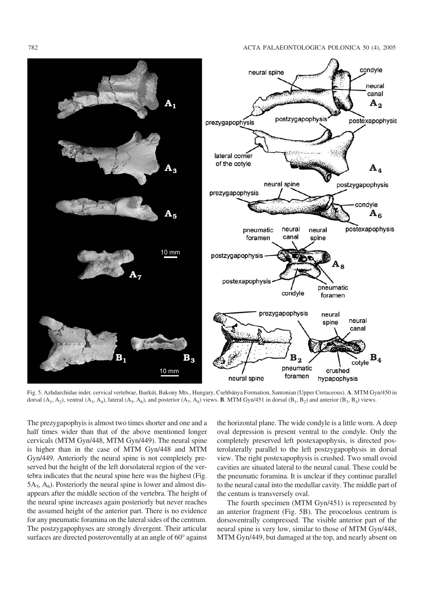

Fig. 5. Azhdarchidae indet. cervical vertebrae, Iharkút, Bakony Mts., Hungary, Csehbánya Formation, Santonian (Upper Cretaceous). **A**. MTM Gyn/450 in dorsal  $(A_1, A_2)$ , ventral  $(A_3, A_4)$ , lateral  $(A_5, A_6)$ , and posterior  $(A_7, A_8)$  views. **B**. MTM Gyn/451 in dorsal  $(B_1, B_2)$  and anterior  $(B_3, B_4)$  views.

The prezygapophyis is almost two times shorter and one and a half times wider than that of the above mentioned longer cervicals (MTM Gyn/448, MTM Gyn/449). The neural spine is higher than in the case of MTM Gyn/448 and MTM Gyn/449. Anteriorly the neural spine is not completely pre− served but the height of the left dorsolateral region of the ver− tebra indicates that the neural spine here was the highest (Fig. 5A $_5$ , A<sub>6</sub>). Posteriorly the neural spine is lower and almost disappears after the middle section of the vertebra. The height of the neural spine increases again posteriorly but never reaches the assumed height of the anterior part. There is no evidence for any pneumatic foramina on the lateral sides of the centrum. The postzygapophyses are strongly divergent. Their articular surfaces are directed posteroventally at an angle of  $60^\circ$  against

the horizontal plane. The wide condyle is a little worn. A deep oval depression is present ventral to the condyle. Only the completely preserved left postexapophysis, is directed pos− terolaterally parallel to the left postzygapophysis in dorsal view. The right postexapophysis is crushed. Two small ovoid cavities are situated lateral to the neural canal. These could be the pneumatic foramina. It is unclear if they continue parallel to the neural canal into the medullar cavity. The middle part of the centum is transversely oval.

The fourth specimen (MTM Gyn/451) is represented by an anterior fragment (Fig. 5B). The procoelous centrum is dorsoventrally compressed. The visible anterior part of the neural spine is very low, similar to those of MTM Gyn/448, MTM Gyn/449, but damaged at the top, and nearly absent on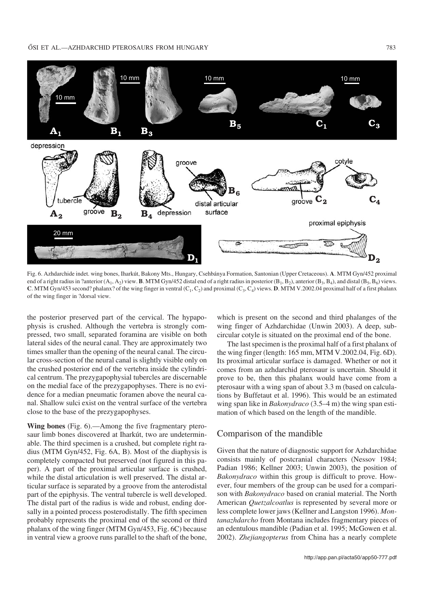

Fig. 6. Azhdarchide indet. wing bones, Iharkút, Bakony Mts., Hungary, Csehbánya Formation, Santonian (Upper Cretaceous). **A**. MTM Gyn/452 proximal end of a right radius in ?anterior  $(A_1, A_2)$  view. **B**. MTM Gyn/452 distal end of a right radius in posterior  $(B_1, B_2)$ , anterior  $(B_3, B_4)$ , and distal  $(B_5, B_6)$  views. **C**. MTM Gyn/453 second? phalanx? of the wing finger in ventral  $(C_1, C_2)$  and proximal  $(C_3, C_4)$  views. **D**. MTM V.2002.04 proximal half of a first phalanx of the wing finger in ?dorsal view.

the posterior preserved part of the cervical. The hypapo− physis is crushed. Although the vertebra is strongly com− pressed, two small, separated foramina are visible on both lateral sides of the neural canal. They are approximately two times smaller than the opening of the neural canal. The circu− lar cross−section of the neural canal is slightly visible only on the crushed posterior end of the vertebra inside the cylindri− cal centrum. The prezygapophysial tubercles are discernable on the medial face of the prezygapophyses. There is no evi− dence for a median pneumatic foramen above the neural ca− nal. Shallow sulci exist on the ventral surface of the vertebra close to the base of the prezygapophyses.

**Wing bones** (Fig. 6).—Among the five fragmentary ptero− saur limb bones discovered at Iharkút, two are undetermin− able. The third specimen is a crushed, but complete right ra− dius (MTM Gyn/452, Fig. 6A, B). Most of the diaphysis is completely compacted but preserved (not figured in this pa− per). A part of the proximal articular surface is crushed, while the distal articulation is well preserved. The distal ar− ticular surface is separated by a groove from the anterodistal part of the epiphysis. The ventral tubercle is well developed. The distal part of the radius is wide and robust, ending dor− sally in a pointed process posterodistally. The fifth specimen probably represents the proximal end of the second or third phalanx of the wing finger (MTM Gyn/453, Fig. 6C) because in ventral view a groove runs parallel to the shaft of the bone,

which is present on the second and third phalanges of the wing finger of Azhdarchidae (Unwin 2003). A deep, sub− circular cotyle is situated on the proximal end of the bone.

The last specimen is the proximal half of a first phalanx of the wing finger (length: 165 mm, MTM V.2002.04, Fig. 6D). Its proximal articular surface is damaged. Whether or not it comes from an azhdarchid pterosaur is uncertain. Should it prove to be, then this phalanx would have come from a pterosaur with a wing span of about 3.3 m (based on calcula− tions by Buffetaut et al. 1996). This would be an estimated wing span like in *Bakonydraco* (3.5–4 m) the wing span esti− mation of which based on the length of the mandible.

#### Comparison of the mandible

Given that the nature of diagnostic support for Azhdarchidae consists mainly of postcranial characters (Nessov 1984; Padian 1986; Kellner 2003; Unwin 2003), the position of *Bakonydraco* within this group is difficult to prove. However, four members of the group can be used for a compari− son with *Bakonydraco* based on cranial material. The North American *Quetzalcoatlus* is represented by several more or less complete lower jaws (Kellner and Langston 1996). *Mon− tanazhdarcho* from Montana includes fragmentary pieces of an edentulous mandible (Padian et al. 1995; McGowen et al. 2002). *Zhejiangopterus* from China has a nearly complete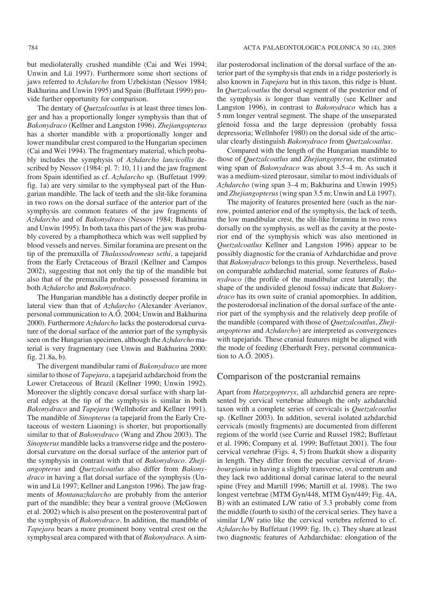but mediolaterally crushed mandible (Cai and Wei 1994; Unwin and Lü 1997). Furthermore some short sections of jaws referred to *Azhdarcho* from Uzbekistan (Nessov 1984; Bakhurina and Unwin 1995) and Spain (Buffetaut 1999) pro− vide further opportunity for comparison.

The dentary of *Quetzalcoatlus* is at least three times lon− ger and has a proportionally longer symphysis than that of *Bakonydraco* (Kellner and Langston 1996). *Zhejiangopterus* has a shorter mandible with a proportionally longer and lower mandibular crest compared to the Hungarian specimen (Cai and Wei 1994). The fragmentary material, which proba− bly includes the symphysis of *Azhdarcho lancicollis* de− scribed by Nessov (1984: pl. 7: 10, 11) and the jaw fragment from Spain identified as cf. *Azhdarcho* sp. (Buffetaut 1999: fig. 1a) are very similar to the symphyseal part of the Hun− garian mandible. The lack of teeth and the slit−like foramina in two rows on the dorsal surface of the anterior part of the symphysis are common features of the jaw fragments of *Azhdarcho* and of *Bakonydraco* (Nessov 1984; Bakhurina and Unwin 1995). In both taxa this part of the jaw was proba− bly covered by a rhamphotheca which was well supplied by blood vessels and nerves. Similar foramina are present on the tip of the premaxilla of *Thalassodromeus sethi*, a tapejarid from the Early Cretaceous of Brazil (Kellner and Campos 2002), suggesting that not only the tip of the mandible but also that of the premaxilla probably possessed foramina in both *Azhdarcho* and *Bakonydraco*.

The Hungarian mandible has a distinctly deeper profile in lateral view than that of *Azhdarcho* (Alexander Averianov, personal communication to A.Ő. 2004; Unwin and Bakhurina 2000). Furthermore *Azhdarcho* lacks the posterodorsal curva− ture of the dorsal surface of the anterior part of the symphysis seen on the Hungarian specimen, although the *Azhdarcho* ma− terial is very fragmentary (see Unwin and Bakhurina 2000: fig. 21.8a, b).

The divergent mandibular rami of *Bakonydraco* are more similar to those of *Tapejara*, a tapejarid azhdarchoid from the Lower Cretaceous of Brazil (Kellner 1990; Unwin 1992). Moreover the slightly concave dorsal surface with sharp lat− eral edges at the tip of the symphysis is similar in both *Bakonydraco* and *Tapejara* (Wellnhofer and Kellner 1991). The mandible of *Sinopterus* (a tapejarid from the Early Cre− taceous of western Liaoning) is shorter, but proportionally similar to that of *Bakonydraco* (Wang and Zhou 2003). The *Sinopterus* mandible lacks a transverse ridge and the postero− dorsal curvature on the dorsal surface of the anterior part of the symphysis in contrast with that of *Bakonydraco*. *Zheji− angopterus* and *Quetzalcoatlus* also differ from *Bakony− draco* in having a flat dorsal surface of the symphysis (Un− win and Lü 1997; Kellner and Langston 1996). The jaw frag− ments of *Montanazhdarcho* are probably from the anterior part of the mandible; they bear a ventral groove (McGowen et al. 2002) which is also present on the posteroventral part of the symphysis of *Bakonydraco*. In addition, the mandible of *Tapejara* bears a more prominent bony ventral crest on the symphyseal area compared with that of *Bakonydraco.* A sim−

ilar posterodorsal inclination of the dorsal surface of the an− terior part of the symphysis that ends in a ridge posteriorly is also known in *Tapejara* but in this taxon, this ridge is blunt. In *Quetzalcoatlus* the dorsal segment of the posterior end of the symphysis is longer than ventrally (see Kellner and Langston 1996), in contrast to *Bakonydraco* which has a 5 mm longer ventral segment. The shape of the unseparated glenoid fossa and the large depression (probably fossa depressoria; Wellnhofer 1980) on the dorsal side of the artic− ular clearly distinguish *Bakonydraco* from *Quetzalcoatlus*.

Compared with the length of the Hungarian mandible to those of *Quetzalcoatlus* and *Zhejiangopterus*, the estimated wing span of *Bakonydraco* was about 3.5–4 m. As such it was a medium−sized pterosaur, similar to most individuals of *Azhdarcho* (wing span 3–4 m; Bakhurina and Unwin 1995) and *Zhejiangopterus*(wing span 3.5 m; Unwin and Lü 1997).

The majority of features presented here (such as the nar− row, pointed anterior end of the symphysis, the lack of teeth, the low mandibular crest, the slit−like foramina in two rows dorsally on the symphysis, as well as the cavity at the poste− rior end of the symphysis which was also mentioned in *Quetzalcoatlus* Kellner and Langston 1996) appear to be possibly diagnostic for the crania of Azhdarchidae and prove that *Bakonydraco* belongs to this group. Nevertheless, based on comparable azhdarchid material, some features of *Bako− nydraco* (the profile of the mandibular crest laterally; the shape of the undivided glenoid fossa) indicate that *Bakony− draco* has its own suite of cranial apomorphies. In addition, the posterodorsal inclination of the dorsal surface of the ante− rior part of the symphysis and the relatively deep profile of the mandible (compared with those of *Quetzalcoatlus*, *Zheji− angopterus* and *Azhdarcho*) are interpreted as convergences with tapejarids. These cranial features might be aligned with the mode of feeding (Eberhardt Frey, personal communica− tion to A.Ő. 2005).

#### Comparison of the postcranial remains

Apart from *Hatzegopteryx*, all azhdarchid genera are repre− sented by cervical vertebrae although the only azhdarchid taxon with a complete series of cervicals is *Quetzalcoatlus* sp. (Kellner 2003). In addition, several isolated azhdarchid cervicals (mostly fragments) are documented from different regions of the world (see Currie and Russel 1982; Buffetaut et al. 1996; Company et al. 1999; Buffetaut 2001). The four cervical vertebrae (Figs. 4, 5) from Iharkút show a disparity in length. They differ from the peculiar cervical of *Aram− bourgiania* in having a slightly transverse, oval centrum and they lack two additional dorsal carinae lateral to the neural spine (Frey and Martill 1996; Martill et al. 1998). The two longest vertebrae (MTM Gyn/448, MTM Gyn/449; Fig. 4A, B) with an estimated L/W ratio of 3.3 probably come from the middle (fourth to sixth) of the cervical series. They have a similar L/W ratio like the cervical vertebra referred to cf. *Azhdarcho* by Buffetaut (1999: fig. 1b, c). They share at least two diagnostic features of Azhdarchidae: elongation of the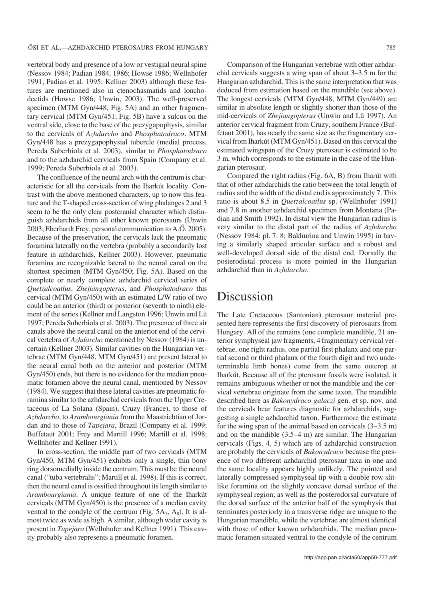vertebral body and presence of a low or vestigial neural spine (Nessov 1984; Padian 1984, 1986; Howse 1986; Wellnhofer 1991; Padian et al. 1995; Kellner 2003) although these fea− tures are mentioned also in ctenochasmatids and loncho− dectids (Howse 1986; Unwin, 2003). The well−preserved specimen (MTM Gyn/448, Fig. 5A) and an other fragmentary cervical (MTM Gyn/451; Fig. 5B) have a sulcus on the ventral side, close to the base of the prezygapophysis, similar to the cervicals of *Azhdarcho* and *Phosphatodraco*. MTM Gyn/448 has a prezygapophysial tubercle (medial process, Pereda Suberbiola et al. 2003), similar to *Phosphatodraco* and to the azhdarchid cervicals from Spain (Company et al. 1999; Pereda Suberbiola et al. 2003).

The confluence of the neural arch with the centrum is char− acteristic for all the cervicals from the Iharkút locality. Con− trast with the above mentioned characters, up to now this fea− ture and the T−shaped cross−section of wing phalanges 2 and 3 seem to be the only clear postcranial character which distin− guish azhdarchids from all other known pterosaurs (Unwin 2003; Eberhardt Frey, personal communication to A.Ő. 2005). Because of the preservation, the cervicals lack the pneumatic foramina laterally on the vertebra (probably a secondarily lost feature in azhdarchids, Kellner 2003). However, pneumatic foramina are recognizable lateral to the neural canal on the shortest specimen (MTM Gyn/450; Fig. 5A). Based on the complete or nearly complete azhdarchid cervical series of *Quetzalcoatlus*, *Zhejiangopterus*, and *Phosphatodraco* this cervical (MTM Gyn/450) with an estimated L/W ratio of two could be an anterior (third) or posterior (seventh to ninth) ele− ment of the series (Kellner and Langston 1996; Unwin and Lü 1997; Pereda Suberbiola et al. 2003). The presence of three air canals above the neural canal on the anterior end of the cervi− cal vertebra of *Azhdarcho* mentioned by Nessov (1984) is un− certain (Kellner 2003). Similar cavities on the Hungarian ver− tebrae (MTM Gyn/448, MTM Gyn/451) are present lateral to the neural canal both on the anterior and posterior (MTM Gyn/450) ends, but there is no evidence for the median pneu− matic foramen above the neural canal, mentioned by Nessov (1984). We suggest that these lateral cavities are pneumatic fo− ramina similar to the azhdarchid cervicals from the Upper Cre− taceous of La Solana (Spain), Cruzy (France), to those of *Azhdarcho*, to *Arambourgiania* from the Maastrichtian of Jor− dan and to those of *Tapejara*, Brazil (Company et al. 1999; Buffetaut 2001; Frey and Martill 1996; Martill et al. 1998; Wellnhofer and Kellner 1991).

In cross−section, the middle part of two cervicals (MTM Gyn/450, MTM Gyn/451) exhibits only a single, thin bony ring dorsomedially inside the centrum. This must be the neural canal ("tuba vertebralis"; Martill et al. 1998). If this is correct, then the neural canal is ossified throughout its length similar to *Arambourgiania*. A unique feature of one of the Iharkút cervicals (MTM Gyn/450) is the presence of a median cavity ventral to the condyle of the centrum (Fig.  $5A_7$ ,  $A_8$ ). It is al− most twice as wide as high. A similar, although wider cavity is present in *Tapejara* (Wellnhofer and Kellner 1991). This cav− ity probably also represents a pneumatic foramen.

Comparison of the Hungarian vertebrae with other azhdar− chid cervicals suggests a wing span of about 3–3.5 m for the Hungarian azhdarchid. This is the same interpretation that was deduced from estimation based on the mandible (see above). The longest cervicals (MTM Gyn/448, MTM Gyn/449) are similar in absolute length or slightly shorter than those of the mid−cervicals of *Zhejiangopterus* (Unwin and Lü 1997). An anterior cervical fragment from Cruzy, southern France (Buf− fetaut 2001), has nearly the same size as the fragmentary cer− vical from Iharkút (MTM Gyn/451). Based on this cervical the estimated wingspan of the Cruzy pterosaur is estimated to be 3 m, which corresponds to the estimate in the case of the Hun− garian pterosaur.

Compared the right radius (Fig. 6A, B) from Iharút with that of other azhdarchids the ratio between the total length of radius and the width of the distal end is approximately 7. This ratio is about 8.5 in *Quetzalcoatlus* sp. (Wellnhofer 1991) and 7.8 in another azhdarchid specimen from Montana (Pa− dian and Smith 1992). In distal view the Hungarian radius is very similar to the distal part of the radius of *Azhdarcho* (Nessov 1984: pl. 7: 8; Bakhurina and Unwin 1995) in hav− ing a similarly shaped articular surface and a robust and well−developed dorsal side of the distal end. Dorsally the posterodistal process is more pointed in the Hungarian azhdarchid than in *Azhdarcho*.

## Discussion

The Late Cretaceous (Santonian) pterosaur material pre− sented here represents the first discovery of pterosaurs from Hungary. All of the remains (one complete mandible, 21 an− terior symphyseal jaw fragments, 4 fragmentary cervical ver− tebrae, one right radius, one partial first phalanx and one par− tial second or third phalanx of the fourth digit and two unde− terminable limb bones) come from the same outcrop at Iharkút. Because all of the pterosaur fossils were isolated, it remains ambiguous whether or not the mandible and the cer− vical vertebrae originate from the same taxon. The mandible described here as *Bakonydraco galaczi* gen. et sp. nov. and the cervicals bear features diagnostic for azhdarchids, sug− gesting a single azhdarchid taxon. Furthermore the estimate for the wing span of the animal based on cervicals (3–3.5 m) and on the mandible (3.5–4 m) are similar. The Hungarian cervicals (Figs. 4, 5) which are of azhdarchid construction are probably the cervicals of *Bakonydraco* because the pres− ence of two different azhdarchid pterosaur taxa in one and the same locality appears highly unlikely. The pointed and laterally compressed symphyseal tip with a double row slit− like foramina on the slightly concave dorsal surface of the symphyseal region; as well as the posterodorsal curvature of the dorsal surface of the anterior half of the symphysis that terminates posteriorly in a transverse ridge are unique to the Hungarian mandible, while the vertebrae are almost identical with those of other known azhdarchids. The median pneu− matic foramen situated ventral to the condyle of the centrum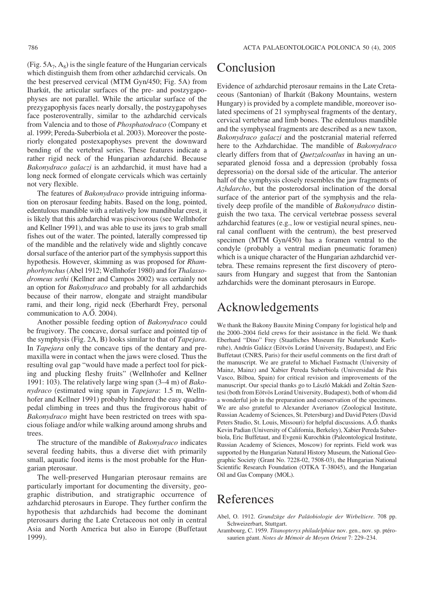(Fig.  $5A_7$ ,  $A_8$ ) is the single feature of the Hungarian cervicals which distinguish them from other azhdarchid cervicals. On the best preserved cervical (MTM Gyn/450; Fig. 5A) from Iharkút, the articular surfaces of the pre− and postzygapo− physes are not parallel. While the articular surface of the prezygapophysis faces nearly dorsally, the postzygapohyses face posteroventrally, similar to the azhdarchid cervicals from Valencia and to those of *Phosphatodraco* (Company et al. 1999; Pereda−Suberbiola et al. 2003). Moreover the poste− riorly elongated postexapophyses prevent the downward bending of the vertebral series. These features indicate a rather rigid neck of the Hungarian azhdarchid. Because *Bakonydraco galaczi* is an azhdarchid, it must have had a long neck formed of elongate cervicals which was certainly not very flexible.

The features of *Bakonydraco* provide intriguing informa− tion on pterosaur feeding habits. Based on the long, pointed, edentulous mandible with a relatively low mandibular crest, it is likely that this azhdarchid was piscivorous (see Wellnhofer and Kellner 1991), and was able to use its jaws to grab small fishes out of the water. The pointed, laterally compressed tip of the mandible and the relatively wide and slightly concave dorsal surface of the anterior part of the symphysis support this hypothesis. However, skimming as was proposed for *Rham− phorhynchus*(Abel 1912; Wellnhofer 1980) and for *Thalasso− dromeus sethi* (Kellner and Campos 2002) was certainly not an option for *Bakonydraco* and probably for all azhdarchids because of their narrow, elongate and straight mandibular rami, and their long, rigid neck (Eberhardt Frey, personal communication to A.O. 2004).

Another possible feeding option of *Bakonydraco* could be frugivory. The concave, dorsal surface and pointed tip of the symphysis (Fig. 2A, B) looks similar to that of *Tapejara*. In *Tapejara* only the concave tips of the dentary and pre− maxilla were in contact when the jaws were closed. Thus the resulting oval gap "would have made a perfect tool for pick− ing and plucking fleshy fruits" (Wellnhofer and Kellner 1991: 103). The relatively large wing span (3–4 m) of *Bako− nydraco* (estimated wing span in *Tapejara*: 1.5 m, Welln− hofer and Kellner 1991) probably hindered the easy quadru− pedal climbing in trees and thus the frugivorous habit of *Bakonydraco* might have been restricted on trees with spa− cious foliage and/or while walking around among shrubs and trees.

The structure of the mandible of *Bakonydraco* indicates several feeding habits, thus a diverse diet with primarily small, aquatic food items is the most probable for the Hun− garian pterosaur.

The well−preserved Hungarian pterosaur remains are particularly important for documenting the diversity, geo− graphic distribution, and stratigraphic occurrence of azhdarchid pterosaurs in Europe. They further confirm the hypothesis that azhdarchids had become the dominant pterosaurs during the Late Cretaceous not only in central Asia and North America but also in Europe (Buffetaut 1999).

## Conclusion

Evidence of azhdarchid pterosaur remains in the Late Creta− ceous (Santonian) of Iharkút (Bakony Mountains, western Hungary) is provided by a complete mandible, moreover iso− lated specimens of 21 symphyseal fragments of the dentary, cervical vertebrae and limb bones. The edentulous mandible and the symphyseal fragments are described as a new taxon, *Bakonydraco galaczi* and the postcranial material referred here to the Azhdarchidae. The mandible of *Bakonydraco* clearly differs from that of *Quetzalcoatlus* in having an un− separated glenoid fossa and a depression (probably fossa depressoria) on the dorsal side of the articular. The anterior half of the symphysis closely resembles the jaw fragments of *Azhdarcho*, but the posterodorsal inclination of the dorsal surface of the anterior part of the symphysis and the rela− tively deep profile of the mandible of *Bakonydraco* distin− guish the two taxa. The cervical vertebrae possess several azhdarchid features (e.g., low or vestigial neural spines, neu− ral canal confluent with the centrum), the best preserved specimen (MTM Gyn/450) has a foramen ventral to the condyle (probably a ventral median pneumatic foramen) which is a unique character of the Hungarian azhdarchid ver− tebra. These remains represent the first discovery of ptero− saurs from Hungary and suggest that from the Santonian azhdarchids were the dominant pterosaurs in Europe.

## Acknowledgements

We thank the Bakony Bauxite Mining Company for logistical help and the 2000–2004 field crews for their assistance in the field. We thank Eberhard "Dino" Frey (Staatliches Museum für Naturkunde Karls− ruhe), András Galácz (Eötvös Loránd University, Budapest), and Eric Buffetaut (CNRS, Paris) for their useful comments on the first draft of the manuscript. We are grateful to Michael Fastnacht (University of Mainz, Mainz) and Xabier Pereda Suberbiola (Universidad de Pais Vasco, Bilboa, Spain) for critical revision and improvements of the manuscript. Our special thanks go to László Makádi and Zoltán Szen− tesi (both from Eötvös Loránd University, Budapest), both of whom did a wonderful job in the preparation and conservation of the specimens. We are also grateful to Alexander Averianov (Zoological Institute, Russian Academy of Sciences, St. Petersburg) and David Peters (David Peters Studio, St. Louis, Missouri) for helpful discussions. A.Ő. thanks Kevin Padian (University of California, Berkeley), Xabier Pereda Suber− biola, Eric Buffetaut, and Evgenii Kurochkin (Paleontological Institute, Russian Academy of Sciences, Moscow) for reprints. Field work was supported by the Hungarian Natural History Museum, the National Geo− graphic Society (Grant No. 7228−02, 7508−03), the Hungarian National Scientific Research Foundation (OTKA T−38045), and the Hungarian Oil and Gas Company (MOL).

### References

- Abel, O. 1912. *Grundzüge der Paläobiologie der Wirbeltiere*. 708 pp. Schweizerbart, Stuttgart.
- Arambourg, C. 1959. *Titanopteryx philadelphiae* nov. gen., nov. sp. ptéro− saurien géant. *Notes de Mémoir de Moyen Orient* 7: 229–234.